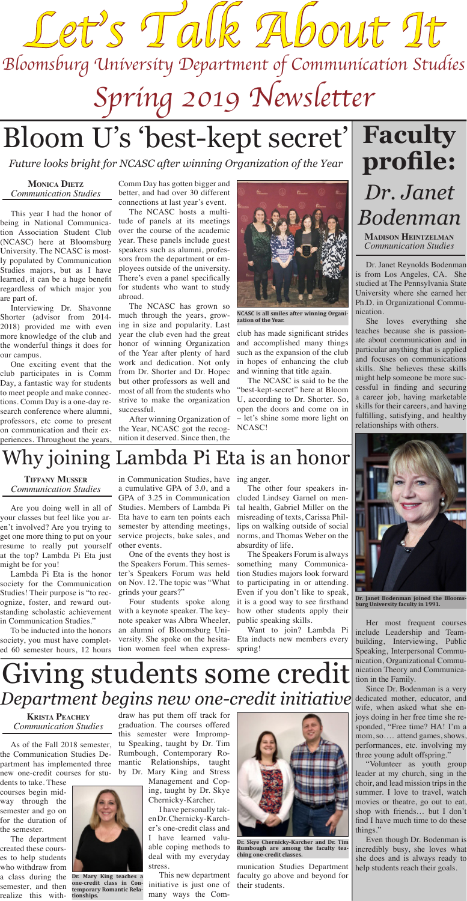As of the Fall 2018 semester, the Communication Studies Department has implemented three new one-credit courses for stu-

dents to take. These courses begin midway through the semester and go on for the duration of the semester.

The department created these courses to help students who withdraw from a class during the semester, and then realize this with-

draw has put them off track for graduation. The courses offered this semester were Impromptu Speaking, taught by Dr. Tim Rumbough, Contemporary Romantic Relationships, taught by Dr. Mary King and Stress Management and Cop-

ing, taught by Dr. Skye Chernicky-Karcher.

I have personally taken Dr. Chernicky-Karcher's one-credit class and I have learned valuable coping methods to deal with my everyday stress.

This new department initiative is just one of many ways the Com-

munication Studies Department faculty go above and beyond for their students.

This year I had the honor of being in National Communication Association Student Club (NCASC) here at Bloomsburg University. The NCASC is mostly populated by Communication Studies majors, but as I have learned, it can be a huge benefit regardless of which major you are part of.

Interviewing Dr. Shavonne Shorter (advisor from 2014- 2018) provided me with even more knowledge of the club and the wonderful things it does for our campus.

One exciting event that the club participates in is Comm Day, a fantastic way for students to meet people and make connections. Comm Day is a one-day research conference where alumni, professors, etc come to present on communication and their experiences. Throughout the years,

Comm Day has gotten bigger and better, and had over 30 different connections at last year's event.

The NCASC hosts a multitude of panels at its meetings over the course of the academic year. These panels include guest speakers such as alumni, professors from the department or employees outside of the university. There's even a panel specifically for students who want to study abroad.

The NCASC has grown so much through the years, growing in size and popularity. Last year the club even had the great honor of winning Organization of the Year after plenty of hard work and dedication. Not only from Dr. Shorter and Dr. Hopec but other professors as well and most of all from the students who strive to make the organization successful.

After winning Organization of the Year, NCASC got the recognition it deserved. Since then, the

club has made significant strides and accomplished many things such as the expansion of the club in hopes of enhancing the club and winning that title again.

The NCASC is said to be the "best-kept-secret" here at Bloom U, according to Dr. Shorter. So, open the doors and come on in – let's shine some more light on NCASC!

# Bloom U's 'best-kept secret'

### **Monica Dietz** *Communication Studies*





**NCASC is all smiles after winning Organization of the Year.** 

*Future looks bright for NCASC after winning Organization of the Year*

Dr. Janet Reynolds Bodenman is from Los Angeles, CA. She studied at The Pennsylvania State University where she earned her Ph.D. in Organizational Communication.

She loves everything she teaches because she is passionate about communication and in particular anything that is applied and focuses on communications skills. She believes these skills might help someone be more successful in finding and securing a career job, having marketable skills for their careers, and having fulfilling, satisfying, and healthy relationships with others.



Her most frequent courses include Leadership and Teambuilding, Interviewing, Public Speaking, Interpersonal Communication, Organizational Communication Theory and Communication in the Family.

Since Dr. Bodenman is a very dedicated mother, educator, and wife, when asked what she enjoys doing in her free time she responded, "Free time? HA! I'm a mom, so…. attend games, shows, performances, etc. involving my three young adult offspring."

"Volunteer as youth group leader at my church, sing in the choir, and lead mission trips in the summer. I love to travel, watch movies or theatre, go out to eat, shop with friends… but I don't find I have much time to do these things."

Even though Dr. Bodenman is incredibly busy, she loves what she does and is always ready to help students reach their goals.

## **Faculty profile:** *Dr. Janet Bodenman*

**Madison Heintzelman** *Communication Studies*

**Dr. Janet Bodenman joined the Bloomsburg University faculty in 1991.** 

Are you doing well in all of your classes but feel like you aren't involved? Are you trying to get one more thing to put on your resume to really put yourself at the top? Lambda Pi Eta just might be for you! Lambda Pi Eta is the honor society for the Communication Studies! Their purpose is "to recognize, foster, and reward outstanding scholastic achievement in Communication Studies." To be inducted into the honors society, you must have completed 60 semester hours, 12 hours

in Communication Studies, have ing anger. a cumulative GPA of 3.0, and a GPA of 3.25 in Communication Studies. Members of Lambda Pi

other events.

One of the events they host is the Speakers Forum. This semester's Speakers Forum was held on Nov. 12. The topic was "What grinds your gears?"

Four students spoke along with a keynote speaker. The keynote speaker was Albra Wheeler, an alumni of Bloomsburg University. She spoke on the hesitation women feel when express-

Eta have to earn ten points each misreading of texts, Carissa Philsemester by attending meetings, lips on walking outside of social service projects, bake sales, and norms, and Thomas Weber on the The other four speakers included Lindsey Garnel on mental health, Gabriel Miller on the absurdity of life. The Speakers Forum is always something many Communication Studies majors look forward to participating in or attending. Even if you don't like to speak, it is a good way to see firsthand how other students apply their public speaking skills. Want to join? Lambda Pi Eta inducts new members every spring!

**Tiffany Musser** *Communication Studies*

### Why joining Lambda Pi Eta is an honor

**Krista Peachey** *Communication Studies*



**Dr. Skye Chernicky-Karcher and Dr. Tim Rumbough are among the faculty teaching one-credit classes.**

## Giving students some credit *Department begins new one-credit initiative*



**Dr. Mary King teaches a one-credit class in Contemporary Romantic Relationships.**